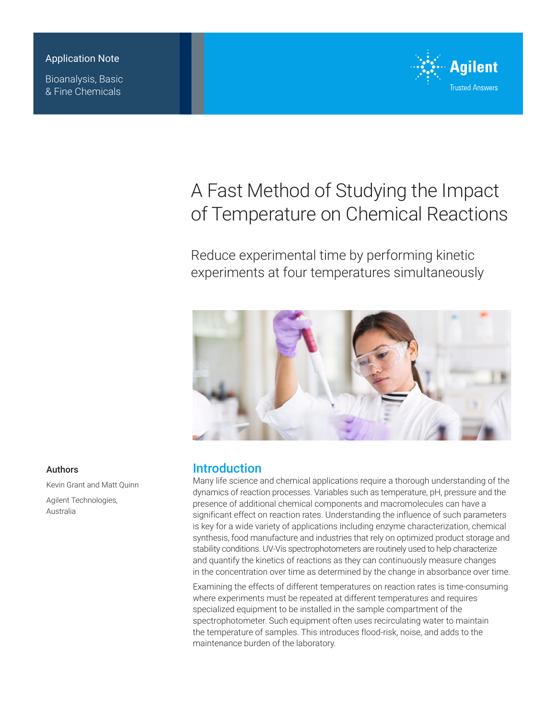### Application Note

Bioanalysis, Basic & Fine Chemicals



# A Fast Method of Studying the Impact of Temperature on Chemical Reactions

Reduce experimental time by performing kinetic experiments at four temperatures simultaneously



## Introduction

Many life science and chemical applications require a thorough understanding of the dynamics of reaction processes. Variables such as temperature, pH, pressure and the presence of additional chemical components and macromolecules can have a significant effect on reaction rates. Understanding the influence of such parameters is key for a wide variety of applications including enzyme characterization, chemical synthesis, food manufacture and industries that rely on optimized product storage and stability conditions. UV-Vis spectrophotometers are routinely used to help characterize and quantify the kinetics of reactions as they can continuously measure changes in the concentration over time as determined by the change in absorbance over time.

Examining the effects of different temperatures on reaction rates is time-consuming where experiments must be repeated at different temperatures and requires specialized equipment to be installed in the sample compartment of the spectrophotometer. Such equipment often uses recirculating water to maintain the temperature of samples. This introduces flood-risk, noise, and adds to the maintenance burden of the laboratory.

### Authors

Kevin Grant and Matt Quinn Agilent Technologies, Australia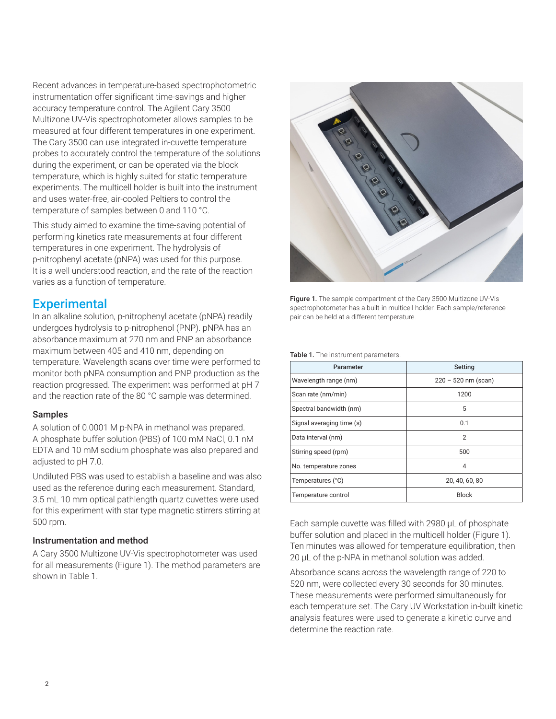Recent advances in temperature-based spectrophotometric instrumentation offer significant time-savings and higher accuracy temperature control. The Agilent Cary 3500 Multizone UV-Vis spectrophotometer allows samples to be measured at four different temperatures in one experiment. The Cary 3500 can use integrated in-cuvette temperature probes to accurately control the temperature of the solutions during the experiment, or can be operated via the block temperature, which is highly suited for static temperature experiments. The multicell holder is built into the instrument and uses water-free, air-cooled Peltiers to control the temperature of samples between 0 and 110 °C.

This study aimed to examine the time-saving potential of performing kinetics rate measurements at four different temperatures in one experiment. The hydrolysis of p-nitrophenyl acetate (pNPA) was used for this purpose. It is a well understood reaction, and the rate of the reaction varies as a function of temperature.

## **Experimental**

In an alkaline solution, p-nitrophenyl acetate (pNPA) readily undergoes hydrolysis to p-nitrophenol (PNP). pNPA has an absorbance maximum at 270 nm and PNP an absorbance maximum between 405 and 410 nm, depending on temperature. Wavelength scans over time were performed to monitor both pNPA consumption and PNP production as the reaction progressed. The experiment was performed at pH 7 and the reaction rate of the 80 °C sample was determined.

#### Samples

A solution of 0.0001 M p-NPA in methanol was prepared. A phosphate buffer solution (PBS) of 100 mM NaCl, 0.1 nM EDTA and 10 mM sodium phosphate was also prepared and adjusted to pH 7.0.

Undiluted PBS was used to establish a baseline and was also used as the reference during each measurement. Standard, 3.5 mL 10 mm optical pathlength quartz cuvettes were used for this experiment with star type magnetic stirrers stirring at 500 rpm.

### Instrumentation and method

A Cary 3500 Multizone UV-Vis spectrophotometer was used for all measurements (Figure 1). The method parameters are shown in Table 1.



Figure 1. The sample compartment of the Cary 3500 Multizone UV-Vis spectrophotometer has a built-in multicell holder. Each sample/reference pair can be held at a different temperature.

Table 1. The instrument parameters. Parameter and Setting Wavelength range (nm)  $220 - 520$  nm (scan) Scan rate (nm/min) 1200 Spectral bandwidth (nm) 5 Signal averaging time  $(s)$   $\qquad \qquad$  0.1 Data interval (nm) 2 Stirring speed (rpm) 500 No. temperature zones and the state of the state of the state of the state of the state of the state of the state of the state of the state of the state of the state of the state of the state of the state of the state of t Temperatures (°C) 20, 40, 60, 80

Each sample cuvette was filled with 2980 µL of phosphate buffer solution and placed in the multicell holder (Figure 1). Ten minutes was allowed for temperature equilibration, then 20 µL of the p-NPA in methanol solution was added.

Temperature control executive and the Block

Absorbance scans across the wavelength range of 220 to 520 nm, were collected every 30 seconds for 30 minutes. These measurements were performed simultaneously for each temperature set. The Cary UV Workstation in-built kinetic analysis features were used to generate a kinetic curve and determine the reaction rate.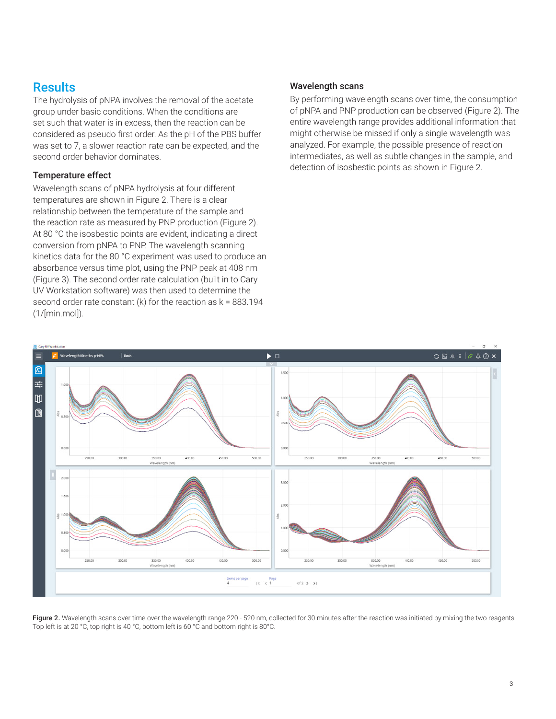# **Results**

The hydrolysis of pNPA involves the removal of the acetate group under basic conditions. When the conditions are set such that water is in excess, then the reaction can be considered as pseudo first order. As the pH of the PBS buffer was set to 7, a slower reaction rate can be expected, and the second order behavior dominates.

## Temperature effect

Wavelength scans of pNPA hydrolysis at four different temperatures are shown in Figure 2. There is a clear relationship between the temperature of the sample and the reaction rate as measured by PNP production (Figure 2). At 80 °C the isosbestic points are evident, indicating a direct conversion from pNPA to PNP. The wavelength scanning kinetics data for the 80 °C experiment was used to produce an absorbance versus time plot, using the PNP peak at 408 nm (Figure 3). The second order rate calculation (built in to Cary UV Workstation software) was then used to determine the second order rate constant (k) for the reaction as  $k = 883.194$ (1/[min.mol]).

### Wavelength scans

By performing wavelength scans over time, the consumption of pNPA and PNP production can be observed (Figure 2). The entire wavelength range provides additional information that might otherwise be missed if only a single wavelength was analyzed. For example, the possible presence of reaction intermediates, as well as subtle changes in the sample, and detection of isosbestic points as shown in Figure 2.



Figure 2. Wavelength scans over time over the wavelength range 220 - 520 nm, collected for 30 minutes after the reaction was initiated by mixing the two reagents. Top left is at 20 °C, top right is 40 °C, bottom left is 60 °C and bottom right is 80°C.